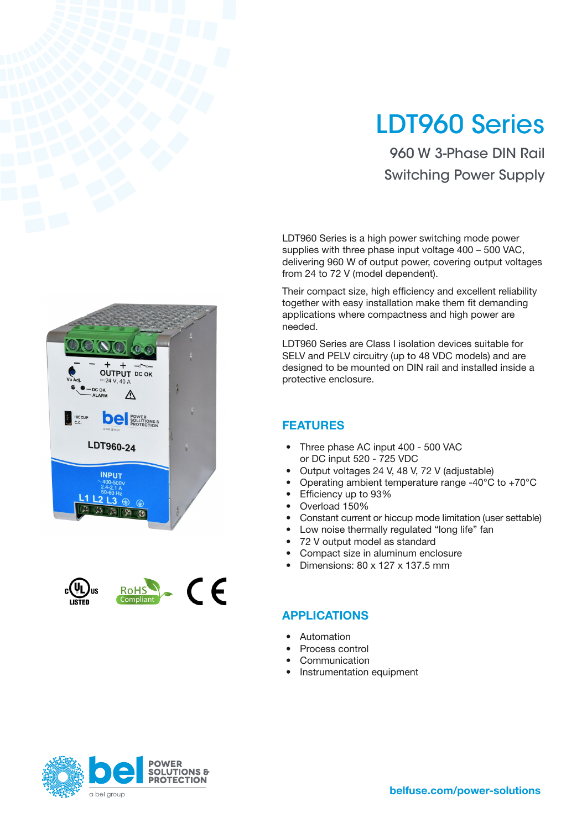# LDT960 Series

960 W 3-Phase DIN Rail Switching Power Supply

LDT960 Series is a high power switching mode power supplies with three phase input voltage 400 – 500 VAC, delivering 960 W of output power, covering output voltages from 24 to 72 V (model dependent).

Their compact size, high efficiency and excellent reliability together with easy installation make them fit demanding applications where compactness and high power are needed.

LDT960 Series are Class I isolation devices suitable for SELV and PELV circuitry (up to 48 VDC models) and are designed to be mounted on DIN rail and installed inside a protective enclosure.

#### FEATURES

- Three phase AC input 400 500 VAC or DC input 520 - 725 VDC
- Output voltages 24 V, 48 V, 72 V (adjustable)
- Operating ambient temperature range -40 $^{\circ}$ C to +70 $^{\circ}$ C
- Efficiency up to 93%
- Overload 150%
- Constant current or hiccup mode limitation (user settable)
- Low noise thermally regulated "long life" fan
- 72 V output model as standard
- Compact size in aluminum enclosure
- Dimensions: 80 x 127 x 137.5 mm

#### APPLICATIONS

- **Automation**
- Process control
- **Communication**
- Instrumentation equipment







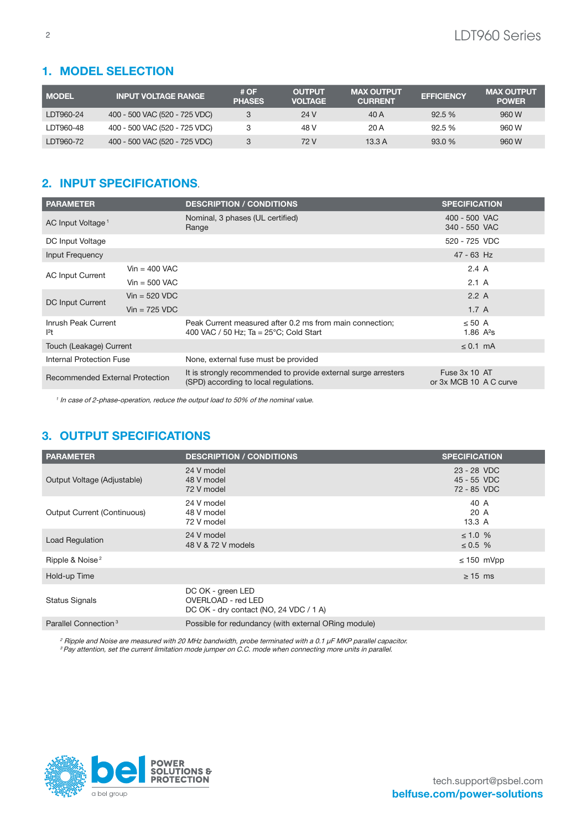#### 1. MODEL SELECTION

| <b>MODEL</b> | <b>INPUT VOLTAGE RANGE</b>    | # OF<br><b>PHASES</b> | <b>OUTPUT</b><br><b>VOLTAGE</b> | <b>MAX OUTPUT</b><br><b>CURRENT</b> | <b>EFFICIENCY</b> | <b>MAX OUTPUT</b><br><b>POWER</b> |
|--------------|-------------------------------|-----------------------|---------------------------------|-------------------------------------|-------------------|-----------------------------------|
| LDT960-24    | 400 - 500 VAC (520 - 725 VDC) | 3                     | 24 V                            | 40 A                                | 92.5%             | 960 W                             |
| LDT960-48    | 400 - 500 VAC (520 - 725 VDC) |                       | 48 V                            | 20 A                                | 92.5%             | 960 W                             |
| LDT960-72    | 400 - 500 VAC (520 - 725 VDC) | 3                     | 72 V                            | 13.3 A                              | 93.0%             | 960 W                             |

### 2. INPUT SPECIFICATIONS.

| <b>PARAMETER</b>                       |                         | <b>DESCRIPTION / CONDITIONS</b>                                                                              | <b>SPECIFICATION</b>                    |  |
|----------------------------------------|-------------------------|--------------------------------------------------------------------------------------------------------------|-----------------------------------------|--|
| AC Input Voltage <sup>1</sup>          |                         | Nominal, 3 phases (UL certified)<br>Range                                                                    | 400 - 500 VAC<br>340 - 550 VAC          |  |
| DC Input Voltage                       |                         |                                                                                                              | 520 - 725 VDC                           |  |
| Input Frequency                        |                         |                                                                                                              | $47 - 63$ Hz                            |  |
|                                        | $Vin = 400$ VAC         |                                                                                                              | $2.4\;A$                                |  |
| <b>AC Input Current</b>                | $Vin = 500$ VAC         |                                                                                                              | $2.1\;A$                                |  |
|                                        | $Vin = 520 VDC$         |                                                                                                              | 2.2A                                    |  |
| DC Input Current                       | $Vin = 725 \text{ VDC}$ |                                                                                                              | 1.7A                                    |  |
| Inrush Peak Current<br> 2t             |                         | Peak Current measured after 0.2 ms from main connection;<br>400 VAC / 50 Hz; Ta = $25^{\circ}$ C; Cold Start | $\leq 50$ A<br>1.86 $A^2S$              |  |
| Touch (Leakage) Current                |                         |                                                                                                              | $\leq$ 0.1 mA                           |  |
| <b>Internal Protection Fuse</b>        |                         | None, external fuse must be provided                                                                         |                                         |  |
| <b>Recommended External Protection</b> |                         | It is strongly recommended to provide external surge arresters<br>(SPD) according to local regulations.      | Fuse 3x 10 AT<br>or 3x MCB 10 A C curve |  |

<sup>1</sup> In case of 2-phase-operation, reduce the output load to 50% of the nominal value.

#### 3. OUTPUT SPECIFICATIONS

| <b>PARAMETER</b>                   | <b>DESCRIPTION / CONDITIONS</b>                                                   | <b>SPECIFICATION</b>                      |
|------------------------------------|-----------------------------------------------------------------------------------|-------------------------------------------|
| Output Voltage (Adjustable)        | 24 V model<br>48 V model<br>72 V model                                            | 23 - 28 VDC<br>45 - 55 VDC<br>72 - 85 VDC |
| <b>Output Current (Continuous)</b> | 24 V model<br>48 V model<br>72 V model                                            | 40 A<br>20 A<br>13.3A                     |
| <b>Load Regulation</b>             | 24 V model<br>48 V & 72 V models                                                  | $\leq 1.0 \%$<br>$\leq 0.5$ %             |
| Ripple & Noise <sup>2</sup>        |                                                                                   | $\leq$ 150 mVpp                           |
| Hold-up Time                       |                                                                                   | $\geq$ 15 ms                              |
| <b>Status Signals</b>              | DC OK - green LED<br>OVERLOAD - red LED<br>DC OK - dry contact (NO, 24 VDC / 1 A) |                                           |
| Parallel Connection <sup>3</sup>   | Possible for redundancy (with external ORing module)                              |                                           |

<sup>2</sup> Ripple and Noise are measured with 20 MHz bandwidth, probe terminated with a 0.1 μF MKP parallel capacitor. <sup>3</sup> Pay attention, set the current limitation mode jumper on C.C. mode when connecting more units in parallel.

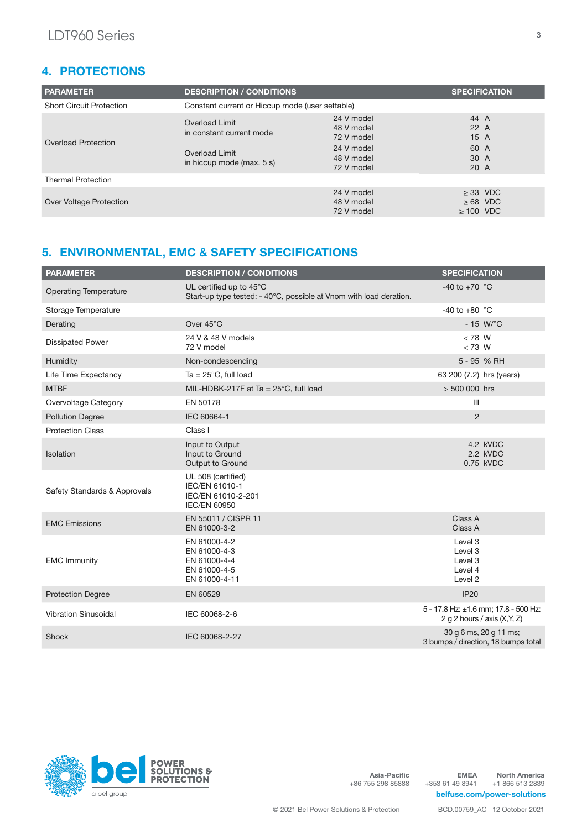#### 4. PROTECTIONS

| <b>PARAMETER</b>                | <b>DESCRIPTION / CONDITIONS</b>                 |                                        | <b>SPECIFICATION</b>                             |  |
|---------------------------------|-------------------------------------------------|----------------------------------------|--------------------------------------------------|--|
| <b>Short Circuit Protection</b> | Constant current or Hiccup mode (user settable) |                                        |                                                  |  |
| Overload Protection             | Overload Limit<br>in constant current mode      | 24 V model<br>48 V model<br>72 V model | 44 A<br>22A<br>15A                               |  |
|                                 | Overload Limit<br>in hiccup mode (max. 5 s)     | 24 V model<br>48 V model<br>72 V model | 60 A<br>30 A<br>20 A                             |  |
| <b>Thermal Protection</b>       |                                                 |                                        |                                                  |  |
| Over Voltage Protection         |                                                 | 24 V model<br>48 V model<br>72 V model | $\geq$ 33 VDC<br>$\geq 68$ VDC<br>$\geq 100$ VDC |  |

### 5. ENVIRONMENTAL, EMC & SAFETY SPECIFICATIONS

| <b>PARAMETER</b>             | <b>DESCRIPTION / CONDITIONS</b>                                                               | <b>SPECIFICATION</b>                                           |                                                                        |
|------------------------------|-----------------------------------------------------------------------------------------------|----------------------------------------------------------------|------------------------------------------------------------------------|
| <b>Operating Temperature</b> | UL certified up to 45°C<br>Start-up type tested: - 40°C, possible at Vnom with load deration. | -40 to +70 $^{\circ}$ C                                        |                                                                        |
| Storage Temperature          |                                                                                               | $-40$ to $+80$ °C                                              |                                                                        |
| Derating                     | Over 45°C                                                                                     |                                                                | $-15$ W/ $\degree$ C                                                   |
| <b>Dissipated Power</b>      | 24 V & 48 V models<br>72 V model                                                              | $< 78$ W<br>$< 73$ W                                           |                                                                        |
| Humidity                     | Non-condescending                                                                             |                                                                | 5 - 95 % RH                                                            |
| Life Time Expectancy         | Ta = $25^{\circ}$ C, full load                                                                | 63 200 (7.2) hrs (years)                                       |                                                                        |
| <b>MTBF</b>                  | MIL-HDBK-217F at Ta = $25^{\circ}$ C, full load                                               | $> 500000$ hrs                                                 |                                                                        |
| Overvoltage Category         | EN 50178                                                                                      | III                                                            |                                                                        |
| <b>Pollution Degree</b>      | IEC 60664-1                                                                                   | 2                                                              |                                                                        |
| <b>Protection Class</b>      | Class I                                                                                       |                                                                |                                                                        |
| Isolation                    | Input to Output<br>Input to Ground<br>Output to Ground                                        |                                                                | 4.2 kVDC<br>2.2 kVDC<br>0.75 kVDC                                      |
| Safety Standards & Approvals | UL 508 (certified)<br>IEC/EN 61010-1<br>IEC/EN 61010-2-201<br><b>IEC/EN 60950</b>             |                                                                |                                                                        |
| <b>EMC Emissions</b>         | EN 55011 / CISPR 11<br>EN 61000-3-2                                                           | Class A<br>Class A                                             |                                                                        |
| <b>EMC Immunity</b>          | EN 61000-4-2<br>EN 61000-4-3<br>EN 61000-4-4<br>EN 61000-4-5<br>EN 61000-4-11                 | Level 3<br>Level 3<br>Level 3<br>Level 4<br>Level <sub>2</sub> |                                                                        |
| <b>Protection Degree</b>     | EN 60529                                                                                      | <b>IP20</b>                                                    |                                                                        |
| <b>Vibration Sinusoidal</b>  | IEC 60068-2-6                                                                                 |                                                                | 5 - 17.8 Hz: ±1.6 mm; 17.8 - 500 Hz:<br>2 g 2 hours / axis $(X, Y, Z)$ |
| Shock                        | IEC 60068-2-27                                                                                |                                                                | 30 g 6 ms, 20 g 11 ms;<br>3 bumps / direction, 18 bumps total          |



Asia-Pacific +86 755 298 85888

EMEA +353 61 49 8941 North America +1 866 513 2839 [belfuse.com](http://belfuse.com)/power-solutions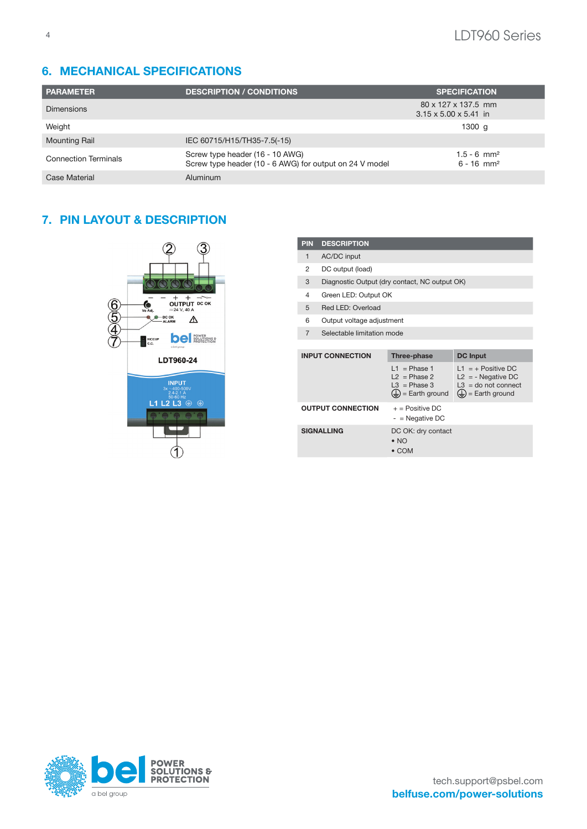## 6. MECHANICAL SPECIFICATIONS

| <b>PARAMETER</b>            | <b>DESCRIPTION / CONDITIONS</b>                                                            | <b>SPECIFICATION</b>                                     |
|-----------------------------|--------------------------------------------------------------------------------------------|----------------------------------------------------------|
| <b>Dimensions</b>           |                                                                                            | 80 x 127 x 137.5 mm<br>$3.15 \times 5.00 \times 5.41$ in |
| Weight                      |                                                                                            | 1300 $g$                                                 |
| <b>Mounting Rail</b>        | IEC 60715/H15/TH35-7.5(-15)                                                                |                                                          |
| <b>Connection Terminals</b> | Screw type header (16 - 10 AWG)<br>Screw type header (10 - 6 AWG) for output on 24 V model | $1.5 - 6$ mm <sup>2</sup><br>$6 - 16$ mm <sup>2</sup>    |
| Case Material               | Aluminum                                                                                   |                                                          |

#### 7. PIN LAYOUT & DESCRIPTION



| <b>PIN</b>     | <b>DESCRIPTION</b>                            |                                                                                      |                                                                                                                |  |  |
|----------------|-----------------------------------------------|--------------------------------------------------------------------------------------|----------------------------------------------------------------------------------------------------------------|--|--|
| $\mathbf{1}$   | AC/DC input                                   |                                                                                      |                                                                                                                |  |  |
| 2              | DC output (load)                              |                                                                                      |                                                                                                                |  |  |
| 3              | Diagnostic Output (dry contact, NC output OK) |                                                                                      |                                                                                                                |  |  |
| 4              | Green LED: Output OK                          |                                                                                      |                                                                                                                |  |  |
| 5              | Red LED: Overload                             |                                                                                      |                                                                                                                |  |  |
| 6              | Output voltage adjustment                     |                                                                                      |                                                                                                                |  |  |
| $\overline{7}$ | Selectable limitation mode                    |                                                                                      |                                                                                                                |  |  |
|                |                                               |                                                                                      |                                                                                                                |  |  |
|                | <b>INPUT CONNECTION</b>                       | Three-phase                                                                          | <b>DC Input</b>                                                                                                |  |  |
|                |                                               | $11$ = Phase 1<br>$L2 = Phase 2$<br>$L3 = Phase 3$<br>$(\frac{1}{2})$ = Earth ground | $L1 = +$ Positive DC<br>$L2 = -$ Negative DC<br>$L3 =$ do not connect<br>$(\frac{1}{\epsilon})$ = Earth ground |  |  |
|                | <b>OUTPUT CONNECTION</b>                      | $+$ = Positive DC<br>$-$ = Negative DC                                               |                                                                                                                |  |  |
|                | <b>SIGNALLING</b>                             | DC OK: dry contact<br>$\bullet$ NO<br>$\bullet$ COM                                  |                                                                                                                |  |  |